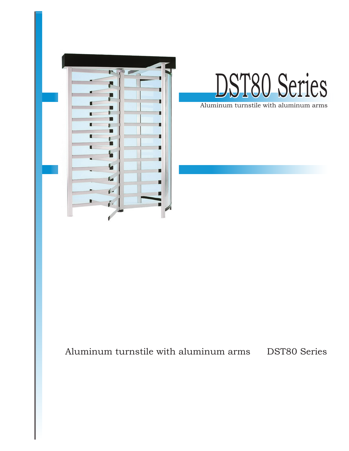



Aluminum turnstile with aluminum arms

# Aluminum turnstile with aluminum arms DST80 Series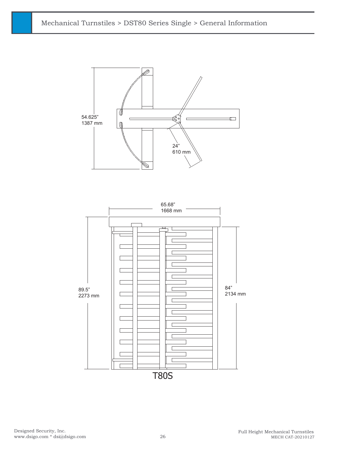

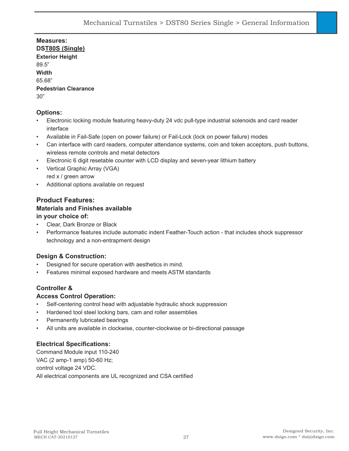**Measures: DST80S (Single) Exterior Height**  89.5" **Width** 65.68" **Pedestrian Clearance** 30"

# **Options:**

- Electronic locking module featuring heavy-duty 24 vdc pull-type industrial solenoids and card reader interface
- Available in Fail-Safe (open on power failure) or Fail-Lock (lock on power failure) modes
- Can interface with card readers, computer attendance systems, coin and token acceptors, push buttons, wireless remote controls and metal detectors
- Electronic 6 digit resetable counter with LCD display and seven-year lithium battery
- Vertical Graphic Array (VGA) red x / green arrow
- Additional options available on request

# **Product Features: Materials and Finishes available**

# **in your choice of:**

- Clear, Dark Bronze or Black
- Performance features include automatic indent Feather-Touch action that includes shock suppressor technology and a non-entrapment design

# **Design & Construction:**

- Designed for secure operation with aesthetics in mind.
- Features minimal exposed hardware and meets ASTM standards

# **Controller &**

#### **Access Control Operation:**

- Self-centering control head with adjustable hydraulic shock suppression
- Hardened tool steel locking bars, cam and roller assemblies
- Permanently lubricated bearings
- All units are available in clockwise, counter-clockwise or bi-directional passage

# **Electrical Specifications:**

Command Module input 110-240 VAC (2 amp-1 amp) 50-60 Hz; control voltage 24 VDC. All electrical components are UL recognized and CSA certified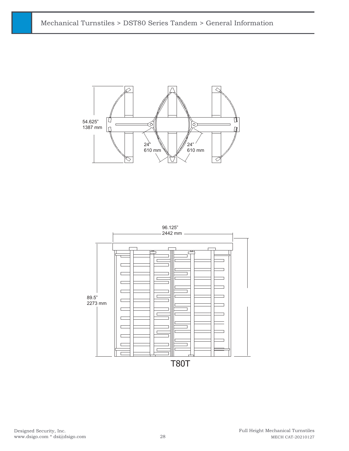